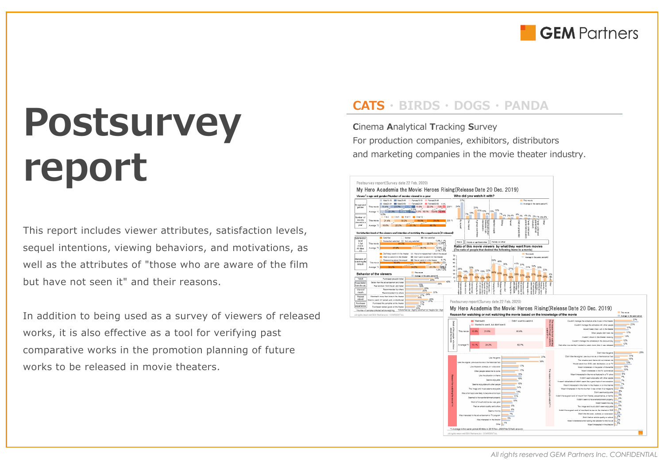

# **Postsurvey report**

This report includes viewer attributes, satisfaction levels, sequel intentions, viewing behaviors, and motivations, as well as the attributes of "those who are aware of the film but have not seen it" and their reasons.

In addition to being used as a survey of viewers of released works, it is also effective as a tool for verifying past comparative works in the promotion planning of future works to be released in movie theaters.

### **CATS ・ BIRDS ・ DOGS ・ PANDA**

**C**inema **A**nalytical **T**racking **S**urvey For production companies, exhibitors, distributors and marketing companies in the movie theater industry.

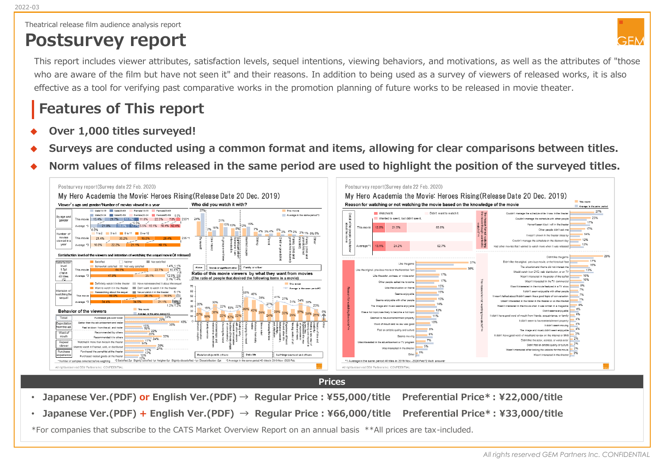Theatrical release film audience analysis report

## **Postsurvey report**



This report includes viewer attributes, satisfaction levels, sequel intentions, viewing behaviors, and motivations, as well as the attributes of "those who are aware of the film but have not seen it" and their reasons. In addition to being used as a survey of viewers of released works, it is also effective as a tool for verifying past comparative works in the promotion planning of future works to be released in movie theater.

### **Features of This report**

- Over 1,000 titles surveyed!
- Surveys are conducted using a common format and items, allowing for clear comparisons between titles.
- Norm values of films released in the same period are used to highlight the position of the surveyed titles.



**Prices**

- **Japanese Ver.(PDF) or English Ver.(PDF) → Regular Price:¥55,000/title Preferential Price\* : ¥22,000/title**
- **Japanese Ver.(PDF) + English Ver.(PDF) → Regular Price:¥66,000/title Preferential Price\* : ¥33,000/title**

\*For companies that subscribe to the CATS Market Overview Report on an annual basis \*\*All prices are tax-included.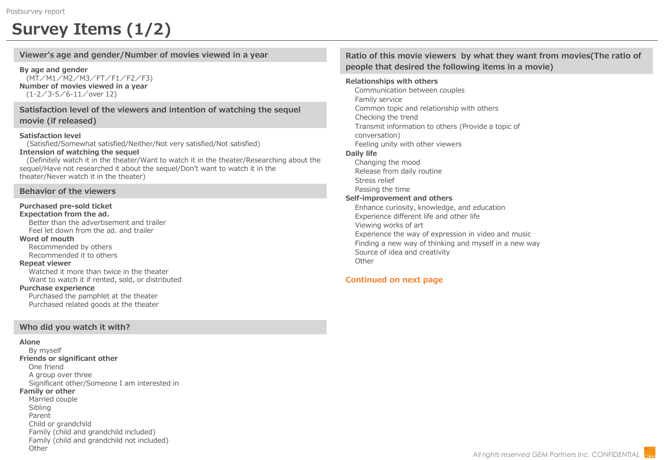### **Survey Items (1/2)**

**Viewer's age and gender/Number of movies viewed in a year**

**By age and gender** (MT/M1/M2/M3/FT/F1/F2/F3) **Number of movies viewed in a year** (1-2/3-5/6-11/over 12)

**Satisfaction level of the viewers and intention of watching the sequel movie (if released)**

### **Satisfaction level**

(Satisfied/Somewhat satisfied/Neither/Not very satisfied/Not satisfied) **Intension of watching the sequel**

(Definitely watch it in the theater/Want to watch it in the theater/Researching about the sequel/Have not researched it about the sequel/Don't want to watch it in the theater/Never watch it in the theater)

### **Behavior of the viewers**

#### **Purchased pre-sold ticket Expectation from the ad.**

Better than the advertisement and trailer Feel let down from the ad. and trailer

### **Word of mouth**

Recommended by others Recommended it to others

#### **Repeat viewer**

Watched it more than twice in the theater Want to watch it if rented, sold, or distributed

#### **Purchase experience**

Purchased the pamphlet at the theater Purchased related goods at the theater

### **Who did you watch it with?**

### **Alone**

By myself **Friends or significant other** One friend A group over three Significant other/Someone I am interested in **Family or other** Married couple Sibling Parent Child or grandchild Family (child and grandchild included) Family (child and grandchild not included) **Other** 

**Ratio of this movie viewers by what they want from movies(The ratio of people that desired the following items in a movie)**

### **Relationships with others**

Communication between couples Family service Common topic and relationship with others Checking the trend Transmit information to others (Provide a topic of conversation) Feeling unity with other viewers **Daily life**

Changing the mood Release from daily routine

Stress relief

Passing the time

### **Self-improvement and others**

Enhance curiosity, knowledge, and education Experience different life and other life Viewing works of art Experience the way of expression in video and music Finding a new way of thinking and myself in a new way Source of idea and creativity **Other** 

### **Continued on next page**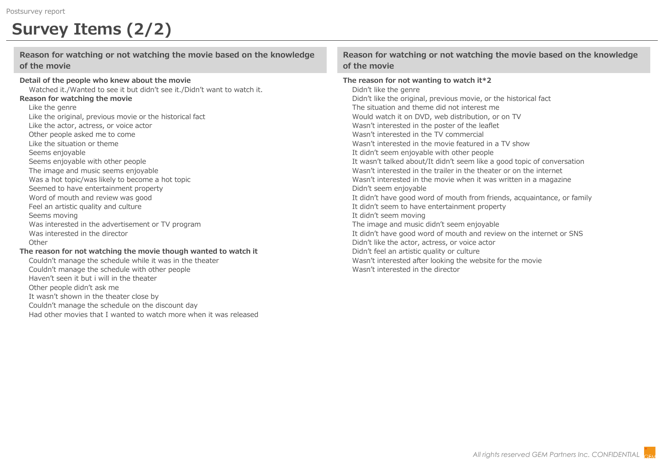### **Survey Items (2/2)**

### **Reason for watching or not watching the movie based on the knowledge of the movie**

### **Detail of the people who knew about the movie**

Watched it./Wanted to see it but didn't see it./Didn't want to watch it. **Reason for watching the movie**

#### Like the genre

Like the original, previous movie or the historical fact Like the actor, actress, or voice actor Other people asked me to come Like the situation or theme Seems enjoyable Seems enjoyable with other people The image and music seems enjoyable Was a hot topic/was likely to become a hot topic Seemed to have entertainment property Word of mouth and review was good Feel an artistic quality and culture Seems moving Was interested in the advertisement or TV program Was interested in the director **Other The reason for not watching the movie though wanted to watch it** Couldn't manage the schedule while it was in the theater Couldn't manage the schedule with other people

Haven't seen it but i will in the theater Other people didn't ask me It wasn't shown in the theater close by Couldn't manage the schedule on the discount day Had other movies that I wanted to watch more when it was released

### **Reason for watching or not watching the movie based on the knowledge of the movie**

#### **The reason for not wanting to watch it\*2**

Didn't like the genre Didn't like the original, previous movie, or the historical fact The situation and theme did not interest me Would watch it on DVD, web distribution, or on TV Wasn't interested in the poster of the leaflet Wasn't interested in the TV commercial Wasn't interested in the movie featured in a TV show It didn't seem enjoyable with other people It wasn't talked about/It didn't seem like a good topic of conversation Wasn't interested in the trailer in the theater or on the internet Wasn't interested in the movie when it was written in a magazine Didn't seem enjoyable It didn't have good word of mouth from friends, acquaintance, or family It didn't seem to have entertainment property It didn't seem moving The image and music didn't seem enjoyable It didn't have good word of mouth and review on the internet or SNS Didn't like the actor, actress, or voice actor Didn't feel an artistic quality or culture Wasn't interested after looking the website for the movie Wasn't interested in the director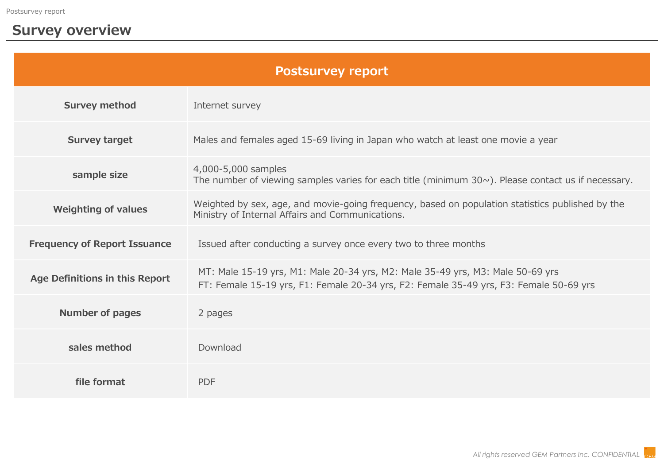### **Survey overview**

| <b>Postsurvey report</b>            |                                                                                                                                                                          |
|-------------------------------------|--------------------------------------------------------------------------------------------------------------------------------------------------------------------------|
| <b>Survey method</b>                | Internet survey                                                                                                                                                          |
| <b>Survey target</b>                | Males and females aged 15-69 living in Japan who watch at least one movie a year                                                                                         |
| sample size                         | 4,000-5,000 samples<br>The number of viewing samples varies for each title (minimum $30\sim$ ). Please contact us if necessary.                                          |
| <b>Weighting of values</b>          | Weighted by sex, age, and movie-going frequency, based on population statistics published by the<br>Ministry of Internal Affairs and Communications.                     |
| <b>Frequency of Report Issuance</b> | Issued after conducting a survey once every two to three months                                                                                                          |
| Age Definitions in this Report      | MT: Male 15-19 yrs, M1: Male 20-34 yrs, M2: Male 35-49 yrs, M3: Male 50-69 yrs<br>FT: Female 15-19 yrs, F1: Female 20-34 yrs, F2: Female 35-49 yrs, F3: Female 50-69 yrs |
| <b>Number of pages</b>              | 2 pages                                                                                                                                                                  |
| sales method                        | Download                                                                                                                                                                 |
| file format                         | <b>PDF</b>                                                                                                                                                               |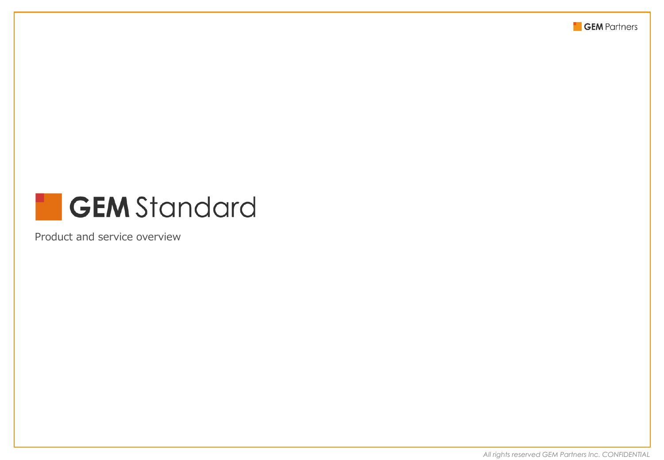

### **GEM** Standard ۰.

Product and service overview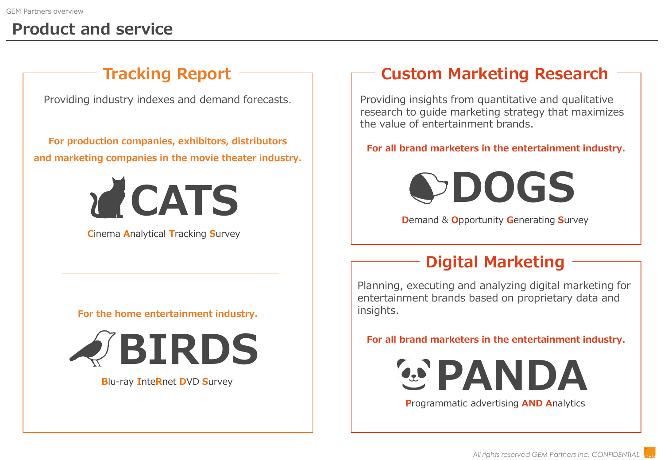### **Product and service**

Providing industry indexes and demand forecasts.

**For production companies, exhibitors, distributors and marketing companies in the movie theater industry.**



**C**inema **A**nalytical **T**racking **S**urvey

### **For the home entertainment industry.**



**B**lu-ray **I**nte**R**net **D**VD **S**urvey

### **Tracking Report Custom Marketing Research**

Providing insights from quantitative and qualitative research to guide marketing strategy that maximizes the value of entertainment brands.

### **For all brand marketers in the entertainment industry.**



**D**emand & **O**pportunity **G**enerating **S**urvey

### **Digital Marketing**

Planning, executing and analyzing digital marketing for entertainment brands based on proprietary data and insights.

**For all brand marketers in the entertainment industry.**



**P**rogrammatic advertising **AND A**nalytics